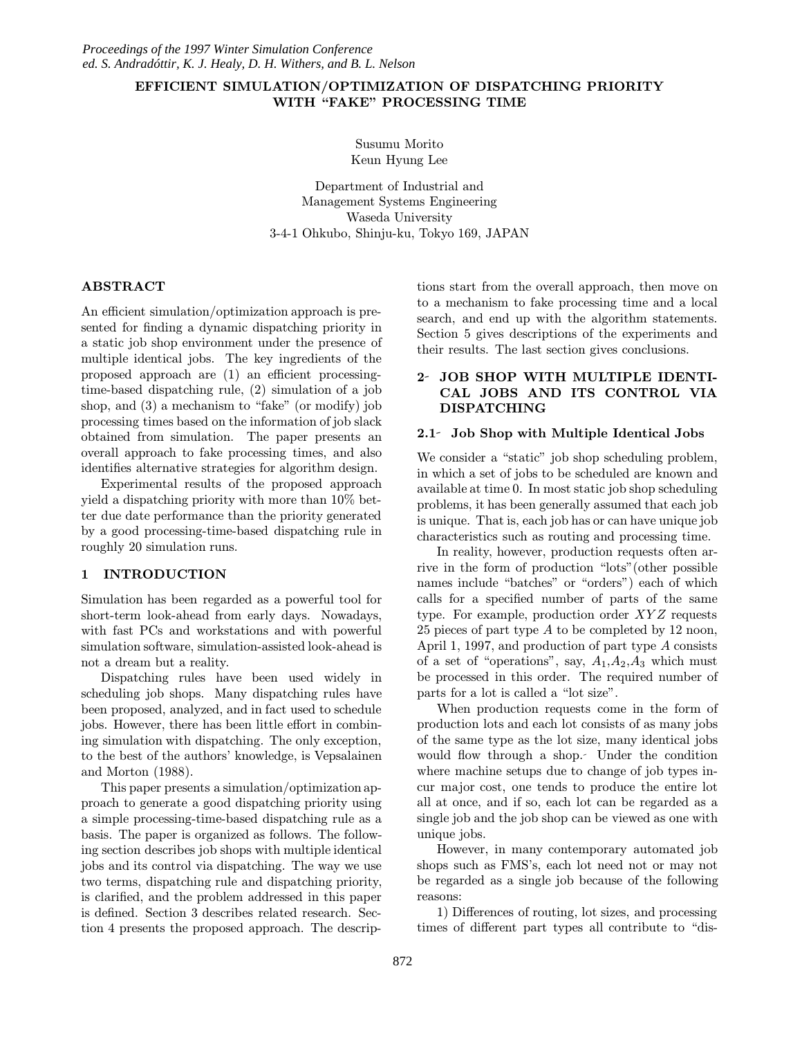## EFFICIENT SIMULATION/OPTIMIZATION OF DISPATCHING PRIORITY WITH "FAKE" PROCESSING TIME

Susumu Morito Keun Hyung Lee

Department of Industrial and Management Systems Engineering Waseda University 3-4-1 Ohkubo, Shinju-ku, Tokyo 169, JAPAN

### ABSTRACT

An efficient simulation/optimization approach is presented for finding a dynamic dispatching priority in a static job shop environment under the presence of multiple identical jobs. The key ingredients of the proposed approach are (1) an efficient processingtime-based dispatching rule, (2) simulation of a job shop, and (3) a mechanism to "fake" (or modify) job processing times based on the information of job slack obtained from simulation. The paper presents an overall approach to fake processing times, and also identifies alternative strategies for algorithm design.

Experimental results of the proposed approach yield a dispatching priority with more than 10% better due date performance than the priority generated by a good processing-time-based dispatching rule in roughly 20 simulation runs.

# 1 INTRODUCTION

Simulation has been regarded as a powerful tool for short-term look-ahead from early days. Nowadays, with fast PCs and workstations and with powerful simulation software, simulation-assisted look-ahead is not a dream but a reality.

Dispatching rules have been used widely in scheduling job shops. Many dispatching rules have been proposed, analyzed, and in fact used to schedule jobs. However, there has been little effort in combining simulation with dispatching. The only exception, to the best of the authors' knowledge, is Vepsalainen and Morton (1988).

This paper presents a simulation/optimization approach to generate a good dispatching priority using a simple processing-time-based dispatching rule as a basis. The paper is organized as follows. The following section describes job shops with multiple identical jobs and its control via dispatching. The way we use two terms, dispatching rule and dispatching priority, is clarified, and the problem addressed in this paper is defined. Section 3 describes related research. Section 4 presents the proposed approach. The descriptions start from the overall approach, then move on to a mechanism to fake processing time and a local search, and end up with the algorithm statements. Section 5 gives descriptions of the experiments and their results. The last section gives conclusions.

# 2 JOB SHOP WITH MULTIPLE IDENTI-CAL JOBS AND ITS CONTROL VIA DISPATCHING

## 2.1 Job Shop with Multiple Identical Jobs

We consider a "static" job shop scheduling problem, in which a set of jobs to be scheduled are known and available at time 0. In most static job shop scheduling problems, it has been generally assumed that each job is unique. That is, each job has or can have unique job characteristics such as routing and processing time.

In reality, however, production requests often arrive in the form of production "lots"(other possible names include "batches" or "orders") each of which calls for a specified number of parts of the same type. For example, production order  $XYZ$  requests 25 pieces of part type  $A$  to be completed by 12 noon, April 1, 1997, and production of part type A consists of a set of "operations", say,  $A_1, A_2, A_3$  which must be processed in this order. The required number of parts for a lot is called a "lot size".

When production requests come in the form of production lots and each lot consists of as many jobs of the same type as the lot size, many identical jobs would flow through a shop. Under the condition where machine setups due to change of job types incur major cost, one tends to produce the entire lot all at once, and if so, each lot can be regarded as a single job and the job shop can be viewed as one with unique jobs.

However, in many contemporary automated job shops such as FMS's, each lot need not or may not be regarded as a single job because of the following reasons:

1) Differences of routing, lot sizes, and processing times of different part types all contribute to "dis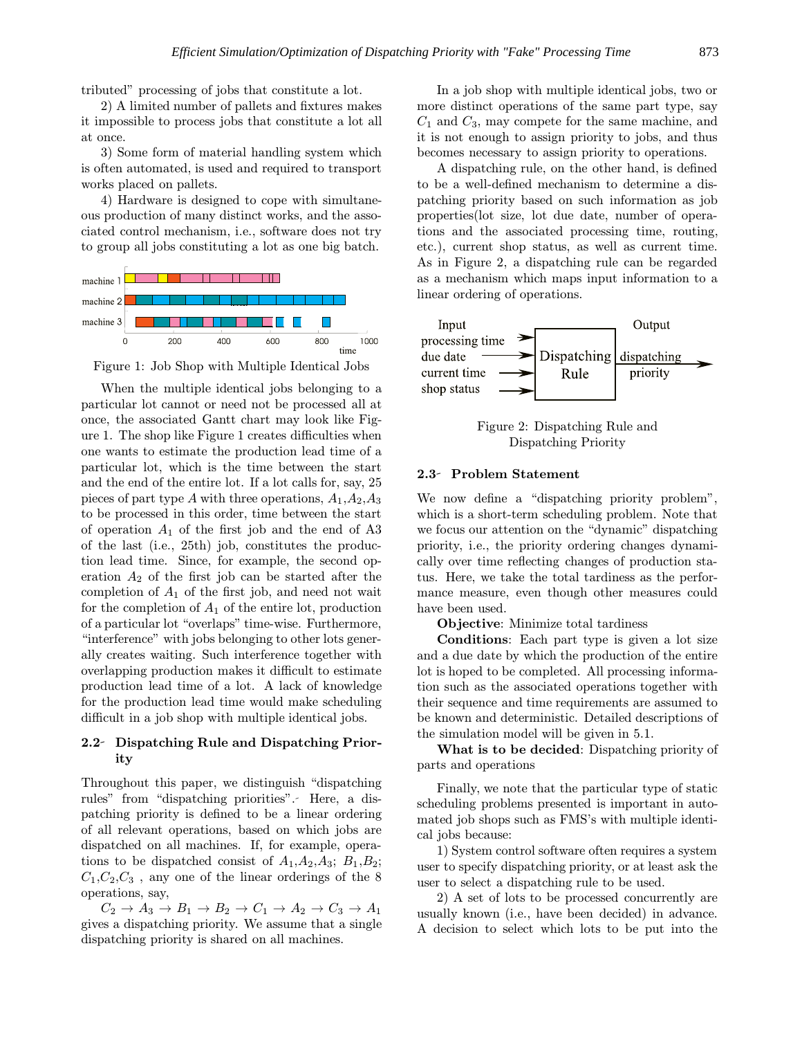tributed" processing of jobs that constitute a lot.

2) A limited number of pallets and fixtures makes it impossible to process jobs that constitute a lot all at once.

3) Some form of material handling system which is often automated, is used and required to transport works placed on pallets.

4) Hardware is designed to cope with simultaneous production of many distinct works, and the associated control mechanism, i.e., software does not try to group all jobs constituting a lot as one big batch.



Figure 1: Job Shop with Multiple Identical Jobs

When the multiple identical jobs belonging to a particular lot cannot or need not be processed all at once, the associated Gantt chart may look like Figure 1. The shop like Figure 1 creates difficulties when one wants to estimate the production lead time of a particular lot, which is the time between the start and the end of the entire lot. If a lot calls for, say, 25 pieces of part type A with three operations,  $A_1, A_2, A_3$ to be processed in this order, time between the start of operation  $A_1$  of the first job and the end of A3 of the last (i.e., 25th) job, constitutes the production lead time. Since, for example, the second operation  $A_2$  of the first job can be started after the completion of  $A_1$  of the first job, and need not wait for the completion of  $A_1$  of the entire lot, production of a particular lot "overlaps" time-wise. Furthermore, "interference" with jobs belonging to other lots generally creates waiting. Such interference together with overlapping production makes it difficult to estimate production lead time of a lot. A lack of knowledge for the production lead time would make scheduling difficult in a job shop with multiple identical jobs.

## 2.2 Dispatching Rule and Dispatching Priority

Throughout this paper, we distinguish "dispatching rules" from "dispatching priorities". Here, a dispatching priority is defined to be a linear ordering of all relevant operations, based on which jobs are dispatched on all machines. If, for example, operations to be dispatched consist of  $A_1, A_2, A_3$ ;  $B_1, B_2$ ;  $C_1, C_2, C_3$ , any one of the linear orderings of the 8 operations, say,

 $C_2 \rightarrow A_3 \rightarrow B_1 \rightarrow B_2 \rightarrow C_1 \rightarrow A_2 \rightarrow C_3 \rightarrow A_1$ gives a dispatching priority. We assume that a single dispatching priority is shared on all machines.

In a job shop with multiple identical jobs, two or more distinct operations of the same part type, say  $C_1$  and  $C_3$ , may compete for the same machine, and it is not enough to assign priority to jobs, and thus becomes necessary to assign priority to operations.

A dispatching rule, on the other hand, is defined to be a well-defined mechanism to determine a dispatching priority based on such information as job properties(lot size, lot due date, number of operations and the associated processing time, routing, etc.), current shop status, as well as current time. As in Figure 2, a dispatching rule can be regarded as a mechanism which maps input information to a linear ordering of operations.



Figure 2: Dispatching Rule and Dispatching Priority

### 2.3- Problem Statement

We now define a "dispatching priority problem". which is a short-term scheduling problem. Note that we focus our attention on the "dynamic" dispatching priority, i.e., the priority ordering changes dynamically over time reflecting changes of production status. Here, we take the total tardiness as the performance measure, even though other measures could have been used.

Objective: Minimize total tardiness

Conditions: Each part type is given a lot size and a due date by which the production of the entire lot is hoped to be completed. All processing information such as the associated operations together with their sequence and time requirements are assumed to be known and deterministic. Detailed descriptions of the simulation model will be given in 5.1.

What is to be decided: Dispatching priority of parts and operations

Finally, we note that the particular type of static scheduling problems presented is important in automated job shops such as FMS's with multiple identical jobs because:

1) System control software often requires a system user to specify dispatching priority, or at least ask the user to select a dispatching rule to be used.

2) A set of lots to be processed concurrently are usually known (i.e., have been decided) in advance. A decision to select which lots to be put into the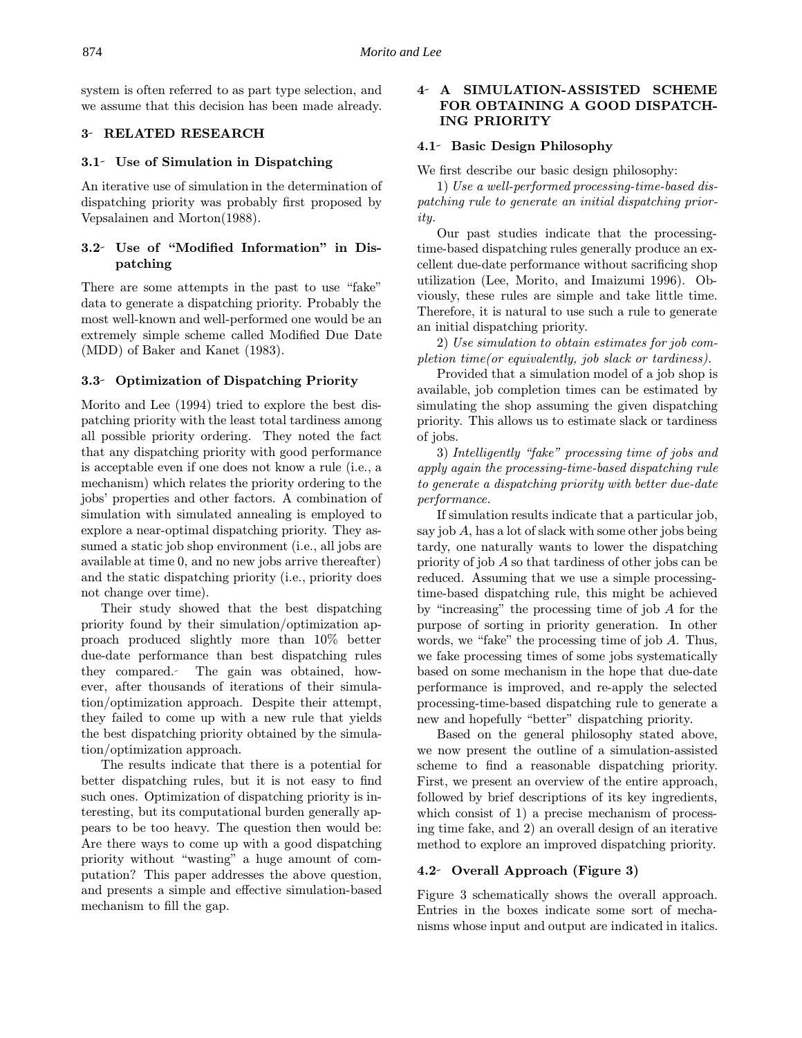system is often referred to as part type selection, and we assume that this decision has been made already.

### 3 RELATED RESEARCH

### 3.1 Use of Simulation in Dispatching

An iterative use of simulation in the determination of dispatching priority was probably first proposed by Vepsalainen and Morton(1988).

# 3.2 Use of "Modified Information" in Dispatching

There are some attempts in the past to use "fake" data to generate a dispatching priority. Probably the most well-known and well-performed one would be an extremely simple scheme called Modified Due Date (MDD) of Baker and Kanet (1983).

## 3.3 Optimization of Dispatching Priority

Morito and Lee (1994) tried to explore the best dispatching priority with the least total tardiness among all possible priority ordering. They noted the fact that any dispatching priority with good performance is acceptable even if one does not know a rule (i.e., a mechanism) which relates the priority ordering to the jobs' properties and other factors. A combination of simulation with simulated annealing is employed to explore a near-optimal dispatching priority. They assumed a static job shop environment (i.e., all jobs are available at time 0, and no new jobs arrive thereafter) and the static dispatching priority (i.e., priority does not change over time).

Their study showed that the best dispatching priority found by their simulation/optimization approach produced slightly more than 10% better due-date performance than best dispatching rules they compared. The gain was obtained, however, after thousands of iterations of their simulation/optimization approach. Despite their attempt, they failed to come up with a new rule that yields the best dispatching priority obtained by the simulation/optimization approach.

The results indicate that there is a potential for better dispatching rules, but it is not easy to find such ones. Optimization of dispatching priority is interesting, but its computational burden generally appears to be too heavy. The question then would be: Are there ways to come up with a good dispatching priority without "wasting" a huge amount of computation? This paper addresses the above question, and presents a simple and effective simulation-based mechanism to fill the gap.

# 4 A SIMULATION-ASSISTED SCHEME FOR OBTAINING A GOOD DISPATCH-ING PRIORITY

### 4.1 Basic Design Philosophy

#### We first describe our basic design philosophy:

1) Use a well-performed processing-time-based dispatching rule to generate an initial dispatching priority.

Our past studies indicate that the processingtime-based dispatching rules generally produce an excellent due-date performance without sacrificing shop utilization (Lee, Morito, and Imaizumi 1996). Obviously, these rules are simple and take little time. Therefore, it is natural to use such a rule to generate an initial dispatching priority.

2) Use simulation to obtain estimates for job completion time(or equivalently, job slack or tardiness).

Provided that a simulation model of a job shop is available, job completion times can be estimated by simulating the shop assuming the given dispatching priority. This allows us to estimate slack or tardiness of jobs.

3) Intelligently "fake" processing time of jobs and apply again the processing-time-based dispatching rule to generate a dispatching priority with better due-date performance.

If simulation results indicate that a particular job, say job A, has a lot of slack with some other jobs being tardy, one naturally wants to lower the dispatching priority of job A so that tardiness of other jobs can be reduced. Assuming that we use a simple processingtime-based dispatching rule, this might be achieved by "increasing" the processing time of job A for the purpose of sorting in priority generation. In other words, we "fake" the processing time of job A. Thus, we fake processing times of some jobs systematically based on some mechanism in the hope that due-date performance is improved, and re-apply the selected processing-time-based dispatching rule to generate a new and hopefully "better" dispatching priority.

Based on the general philosophy stated above, we now present the outline of a simulation-assisted scheme to find a reasonable dispatching priority. First, we present an overview of the entire approach, followed by brief descriptions of its key ingredients, which consist of 1) a precise mechanism of processing time fake, and 2) an overall design of an iterative method to explore an improved dispatching priority.

### 4.2 Overall Approach (Figure 3)

Figure 3 schematically shows the overall approach. Entries in the boxes indicate some sort of mechanisms whose input and output are indicated in italics.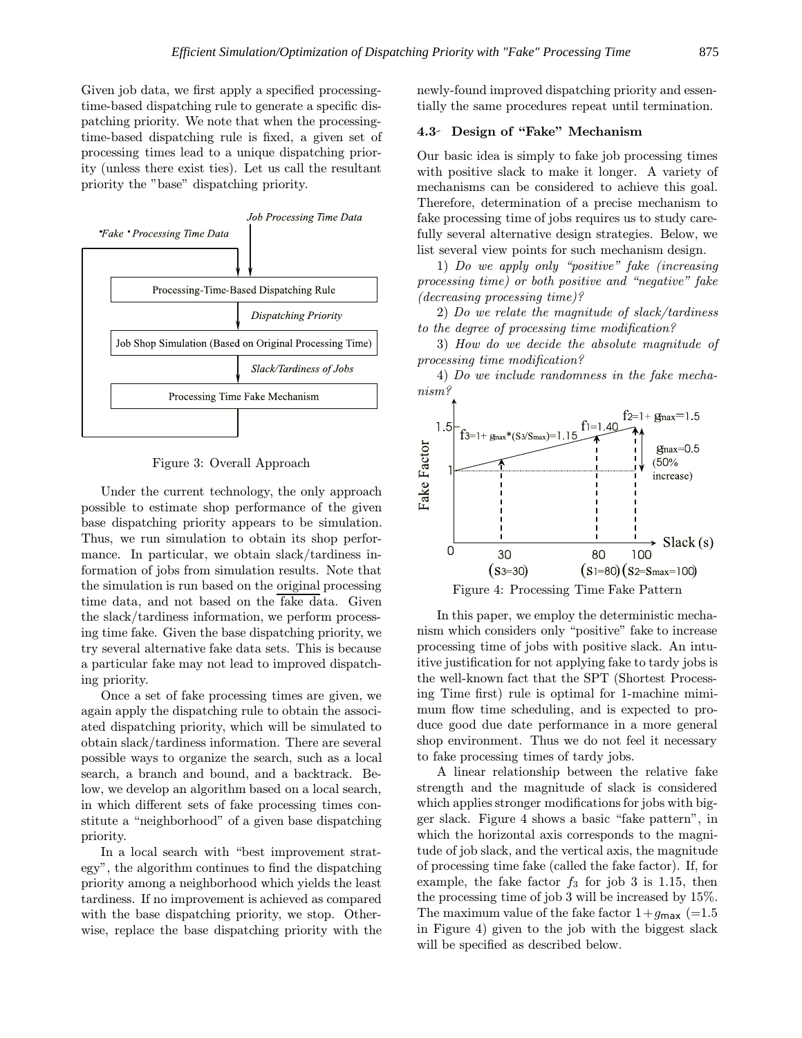Given job data, we first apply a specified processingtime-based dispatching rule to generate a specific dispatching priority. We note that when the processingtime-based dispatching rule is fixed, a given set of processing times lead to a unique dispatching priority (unless there exist ties). Let us call the resultant priority the "base" dispatching priority.



Figure 3: Overall Approach

Under the current technology, the only approach possible to estimate shop performance of the given base dispatching priority appears to be simulation. Thus, we run simulation to obtain its shop performance. In particular, we obtain slack/tardiness information of jobs from simulation results. Note that the simulation is run based on the original processing time data, and not based on the fake data. Given the slack/tardiness information, we perform processing time fake. Given the base dispatching priority, we try several alternative fake data sets. This is because a particular fake may not lead to improved dispatching priority.

Once a set of fake processing times are given, we again apply the dispatching rule to obtain the associated dispatching priority, which will be simulated to obtain slack/tardiness information. There are several possible ways to organize the search, such as a local search, a branch and bound, and a backtrack. Below, we develop an algorithm based on a local search, in which different sets of fake processing times constitute a "neighborhood" of a given base dispatching priority.

In a local search with "best improvement strategy", the algorithm continues to find the dispatching priority among a neighborhood which yields the least tardiness. If no improvement is achieved as compared with the base dispatching priority, we stop. Otherwise, replace the base dispatching priority with the newly-found improved dispatching priority and essentially the same procedures repeat until termination.

### 4.3 Design of "Fake" Mechanism

Our basic idea is simply to fake job processing times with positive slack to make it longer. A variety of mechanisms can be considered to achieve this goal. Therefore, determination of a precise mechanism to fake processing time of jobs requires us to study carefully several alternative design strategies. Below, we list several view points for such mechanism design.

1) Do we apply only "positive" fake (increasing processing time) or both positive and "negative" fake (decreasing processing time)?

2) Do we relate the magnitude of slack/tardiness to the degree of processing time modification?

3) How do we decide the absolute magnitude of processing time modification?

4) Do we include randomness in the fake mechanism?



In this paper, we employ the deterministic mechanism which considers only "positive" fake to increase processing time of jobs with positive slack. An intuitive justification for not applying fake to tardy jobs is the well-known fact that the SPT (Shortest Processing Time first) rule is optimal for 1-machine mimimum flow time scheduling, and is expected to produce good due date performance in a more general shop environment. Thus we do not feel it necessary to fake processing times of tardy jobs.

A linear relationship between the relative fake strength and the magnitude of slack is considered which applies stronger modifications for jobs with bigger slack. Figure 4 shows a basic "fake pattern", in which the horizontal axis corresponds to the magnitude of job slack, and the vertical axis, the magnitude of processing time fake (called the fake factor). If, for example, the fake factor  $f_3$  for job 3 is 1.15, then the processing time of job 3 will be increased by 15%. The maximum value of the fake factor  $1+g_{\text{max}}$  (=1.5) in Figure 4) given to the job with the biggest slack will be specified as described below.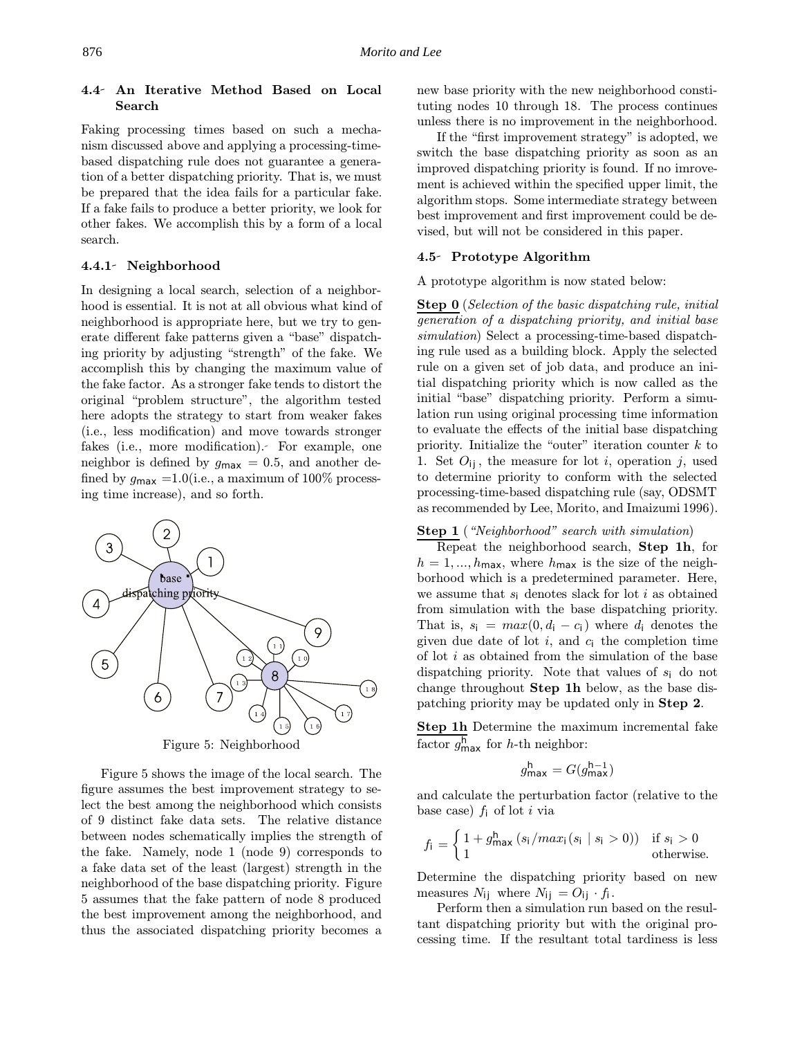## 4.4 An Iterative Method Based on Local Search

Faking processing times based on such a mechanism discussed above and applying a processing-timebased dispatching rule does not guarantee a generation of a better dispatching priority. That is, we must be prepared that the idea fails for a particular fake. If a fake fails to produce a better priority, we look for other fakes. We accomplish this by a form of a local search.

### 4.4.1 Neighborhood

In designing a local search, selection of a neighborhood is essential. It is not at all obvious what kind of neighborhood is appropriate here, but we try to generate different fake patterns given a "base" dispatching priority by adjusting "strength" of the fake. We accomplish this by changing the maximum value of the fake factor. As a stronger fake tends to distort the original "problem structure", the algorithm tested here adopts the strategy to start from weaker fakes (i.e., less modification) and move towards stronger fakes (i.e., more modification). For example, one neighbor is defined by  $g_{\text{max}} = 0.5$ , and another defined by  $g_{\text{max}} = 1.0$ (i.e., a maximum of 100% processing time increase), and so forth.



Figure 5: Neighborhood

Figure 5 shows the image of the local search. The figure assumes the best improvement strategy to select the best among the neighborhood which consists of 9 distinct fake data sets. The relative distance between nodes schematically implies the strength of the fake. Namely, node 1 (node 9) corresponds to a fake data set of the least (largest) strength in the neighborhood of the base dispatching priority. Figure 5 assumes that the fake pattern of node 8 produced the best improvement among the neighborhood, and thus the associated dispatching priority becomes a

new base priority with the new neighborhood constituting nodes 10 through 18. The process continues unless there is no improvement in the neighborhood.

If the "first improvement strategy" is adopted, we switch the base dispatching priority as soon as an improved dispatching priority is found. If no imrovement is achieved within the specified upper limit, the algorithm stops. Some intermediate strategy between best improvement and first improvement could be devised, but will not be considered in this paper.

### 4.5 Prototype Algorithm

A prototype algorithm is now stated below:

Step 0 (Selection of the basic dispatching rule, initial generation of a dispatching priority, and initial base simulation) Select a processing-time-based dispatching rule used as a building block. Apply the selected rule on a given set of job data, and produce an initial dispatching priority which is now called as the initial "base" dispatching priority. Perform a simulation run using original processing time information to evaluate the effects of the initial base dispatching priority. Initialize the "outer" iteration counter  $k$  to 1. Set  $O_{ij}$ , the measure for lot *i*, operation *j*, used to determine priority to conform with the selected processing-time-based dispatching rule (say, ODSMT as recommended by Lee, Morito, and Imaizumi 1996).

## Step 1 ("Neighborhood" search with simulation)

Repeat the neighborhood search, Step 1h, for  $h = 1, ..., h_{\text{max}}$ , where  $h_{\text{max}}$  is the size of the neighborhood which is a predetermined parameter. Here, we assume that  $s_i$  denotes slack for lot i as obtained from simulation with the base dispatching priority. That is,  $s_i = max(0, d_i - c_i)$  where  $d_i$  denotes the given due date of lot  $i$ , and  $c_i$  the completion time of lot  $i$  as obtained from the simulation of the base dispatching priority. Note that values of  $s_i$  do not change throughout Step 1h below, as the base dispatching priority may be updated only in Step 2.

Step 1h Determine the maximum incremental fake factor  $g_{\text{max}}^{\text{h}}$  for h-th neighbor:

$$
g_{\max}^{\mathrm{h}} = G(g_{\max}^{\mathrm{h}-1})
$$

and calculate the perturbation factor (relative to the base case)  $f_i$  of lot i via

$$
f_{\textrm{i}} = \left\{ \begin{matrix} 1+g_{\textrm{max}}^{\textrm{h}}\left(s_{\textrm{i}}\middle/max_{\textrm{i}}\left(s_{\textrm{i}}\right.\mid s_{\textrm{i}}>0\right)\right) & \textrm{if } s_{\textrm{i}}>0 \\ 1 & \textrm{otherwise.} \end{matrix} \right.
$$

Determine the dispatching priority based on new measures  $N_{ij}$  where  $N_{ij} = O_{ij} \cdot f_i$ .

Perform then a simulation run based on the resultant dispatching priority but with the original processing time. If the resultant total tardiness is less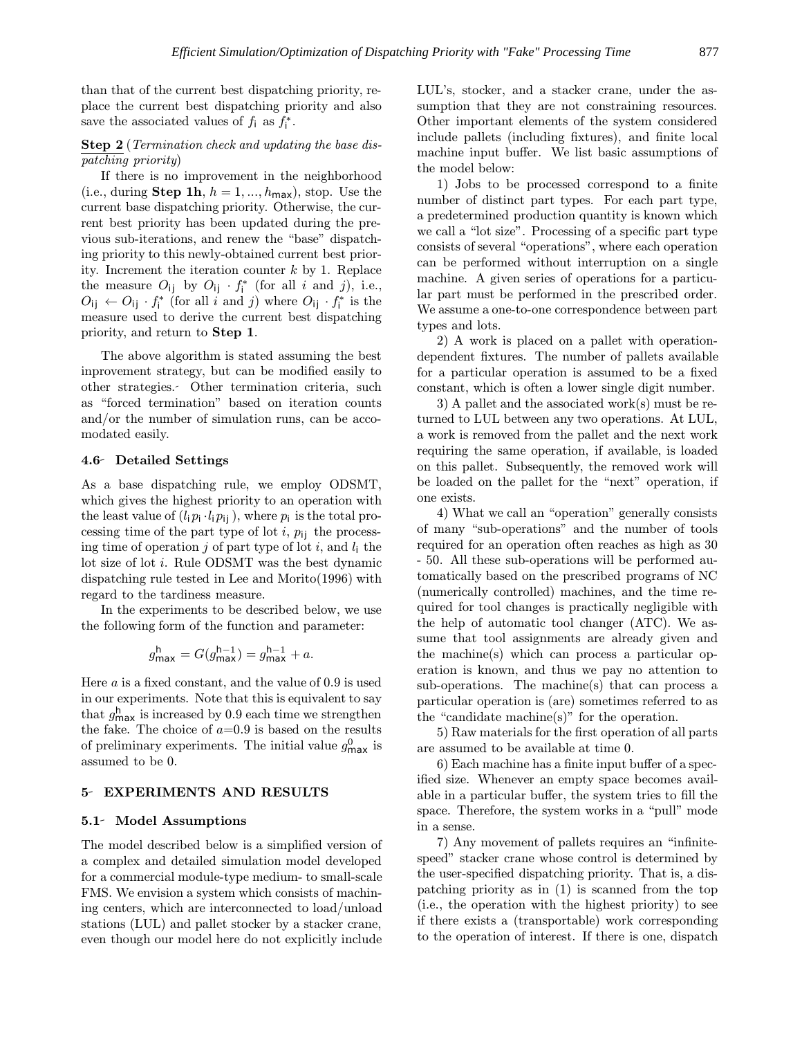than that of the current best dispatching priority, replace the current best dispatching priority and also save the associated values of  $f_i$  as  $f_i^*$ .

### Step 2 (Termination check and updating the base dispatching priority)

If there is no improvement in the neighborhood (i.e., during **Step 1h**,  $h = 1, ..., h_{\text{max}}$ ), stop. Use the current base dispatching priority. Otherwise, the current best priority has been updated during the previous sub-iterations, and renew the "base" dispatching priority to this newly-obtained current best priority. Increment the iteration counter  $k$  by 1. Replace the measure  $O_{ij}$  by  $O_{ij} \cdot f_i^*$  (for all i and j), i.e.,  $O_{ij} \leftarrow O_{ij} \cdot f_i^*$  (for all i and j) where  $O_{ij} \cdot f_i^*$  is the measure used to derive the current best dispatching priority, and return to Step 1.

The above algorithm is stated assuming the best inprovement strategy, but can be modified easily to other strategies. Other termination criteria, such as "forced termination" based on iteration counts and/or the number of simulation runs, can be accomodated easily.

## 4.6 Detailed Settings

As a base dispatching rule, we employ ODSMT, which gives the highest priority to an operation with the least value of  $(l_i p_i \cdot l_i p_{i})$ , where  $p_i$  is the total processing time of the part type of lot  $i, p_{ij}$  the processing time of operation j of part type of lot i, and  $l_i$  the lot size of lot i. Rule ODSMT was the best dynamic dispatching rule tested in Lee and Morito(1996) with regard to the tardiness measure.

In the experiments to be described below, we use the following form of the function and parameter:

$$
g_{\max}^{\mathrm{h}} = G(g_{\max}^{\mathrm{h}-1}) = g_{\max}^{\mathrm{h}-1} + a.
$$

Here  $a$  is a fixed constant, and the value of  $0.9$  is used in our experiments. Note that this is equivalent to say that  $g_{\text{max}}^{\text{h}}$  is increased by 0.9 each time we strengthen the fake. The choice of  $a=0.9$  is based on the results % of preliminary experiments. The initial value  $g_{\text{max}}^0$  is assumed to be 0.

## 5- EXPERIMENTS AND RESULTS

### 5.1- Model Assumptions

The model described below is a simplified version of a complex and detailed simulation model developed for a commercial module-type medium- to small-scale FMS. We envision a system which consists of machining centers, which are interconnected to load/unload stations (LUL) and pallet stocker by a stacker crane, even though our model here do not explicitly include

LUL's, stocker, and a stacker crane, under the assumption that they are not constraining resources. Other important elements of the system considered include pallets (including fixtures), and finite local machine input buffer. We list basic assumptions of the model below:

1) Jobs to be processed correspond to a finite number of distinct part types. For each part type, a predetermined production quantity is known which we call a "lot size". Processing of a specific part type consists of several "operations", where each operation can be performed without interruption on a single machine. A given series of operations for a particular part must be performed in the prescribed order. We assume a one-to-one correspondence between part types and lots.

2) A work is placed on a pallet with operationdependent fixtures. The number of pallets available for a particular operation is assumed to be a fixed constant, which is often a lower single digit number.

3) A pallet and the associated work(s) must be returned to LUL between any two operations. At LUL, a work is removed from the pallet and the next work requiring the same operation, if available, is loaded on this pallet. Subsequently, the removed work will be loaded on the pallet for the "next" operation, if one exists.

4) What we call an "operation" generally consists of many "sub-operations" and the number of tools required for an operation often reaches as high as 30 - 50. All these sub-operations will be performed automatically based on the prescribed programs of NC (numerically controlled) machines, and the time required for tool changes is practically negligible with the help of automatic tool changer (ATC). We assume that tool assignments are already given and the machine(s) which can process a particular operation is known, and thus we pay no attention to sub-operations. The machine(s) that can process a particular operation is (are) sometimes referred to as the "candidate machine(s)" for the operation.

5) Raw materials for the first operation of all parts are assumed to be available at time 0.

6) Each machine has a finite input buffer of a specified size. Whenever an empty space becomes available in a particular buffer, the system tries to fill the space. Therefore, the system works in a "pull" mode in a sense.

7) Any movement of pallets requires an "infinitespeed" stacker crane whose control is determined by the user-specified dispatching priority. That is, a dispatching priority as in (1) is scanned from the top (i.e., the operation with the highest priority) to see if there exists a (transportable) work corresponding to the operation of interest. If there is one, dispatch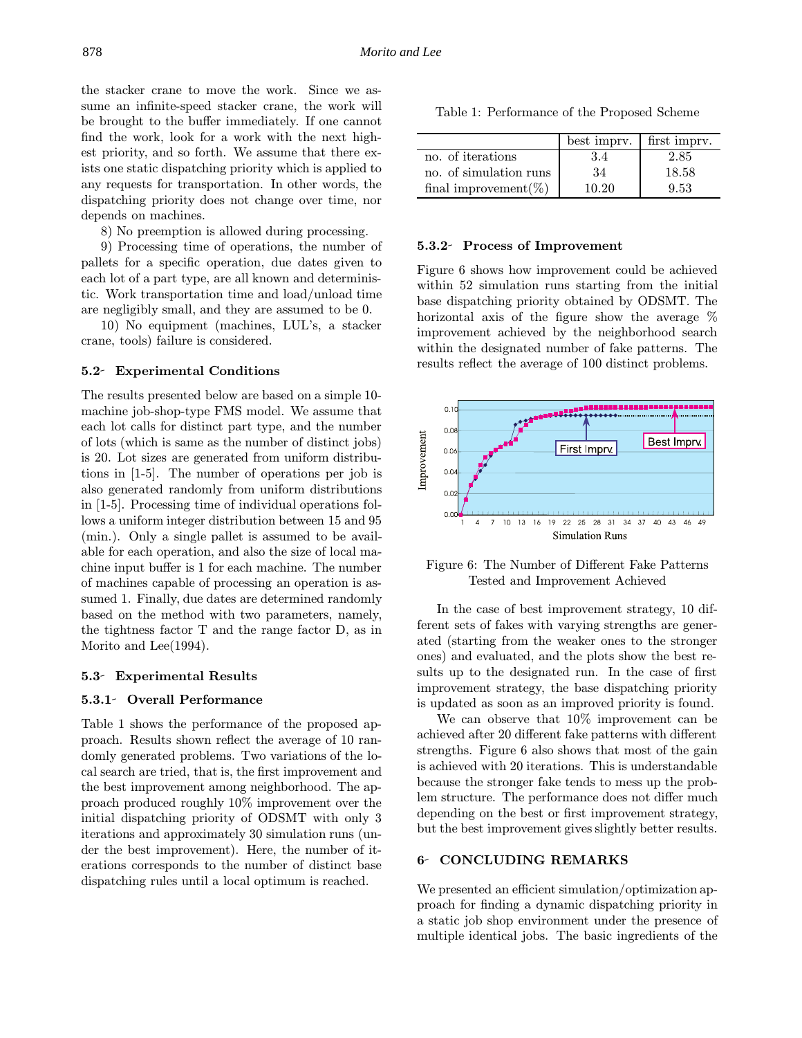the stacker crane to move the work. Since we assume an infinite-speed stacker crane, the work will be brought to the buffer immediately. If one cannot find the work, look for a work with the next highest priority, and so forth. We assume that there exists one static dispatching priority which is applied to any requests for transportation. In other words, the dispatching priority does not change over time, nor depends on machines.

8) No preemption is allowed during processing.

9) Processing time of operations, the number of pallets for a specific operation, due dates given to each lot of a part type, are all known and deterministic. Work transportation time and load/unload time are negligibly small, and they are assumed to be 0.

10) No equipment (machines, LUL's, a stacker crane, tools) failure is considered.

### 5.2 Experimental Conditions

The results presented below are based on a simple 10 machine job-shop-type FMS model. We assume that each lot calls for distinct part type, and the number of lots (which is same as the number of distinct jobs) is 20. Lot sizes are generated from uniform distributions in [1-5]. The number of operations per job is also generated randomly from uniform distributions in [1-5]. Processing time of individual operations follows a uniform integer distribution between 15 and 95 (min.). Only a single pallet is assumed to be available for each operation, and also the size of local machine input buffer is 1 for each machine. The number of machines capable of processing an operation is assumed 1. Finally, due dates are determined randomly based on the method with two parameters, namely, the tightness factor T and the range factor D, as in Morito and Lee(1994).

#### 5.3- Experimental Results

### 5.3.1 Overall Performance

Table 1 shows the performance of the proposed approach. Results shown reflect the average of 10 randomly generated problems. Two variations of the local search are tried, that is, the first improvement and the best improvement among neighborhood. The approach produced roughly 10% improvement over the initial dispatching priority of ODSMT with only 3 iterations and approximately 30 simulation runs (under the best improvement). Here, the number of iterations corresponds to the number of distinct base dispatching rules until a local optimum is reached.

Table 1: Performance of the Proposed Scheme

|                          | best impry. | first impry. |
|--------------------------|-------------|--------------|
| no. of iterations        | 3.4         | 2.85         |
| no. of simulation runs   | 34          | 18.58        |
| final improvement $(\%)$ | 10 20       | 9.53         |

#### 5.3.2 Process of Improvement

Figure 6 shows how improvement could be achieved within 52 simulation runs starting from the initial base dispatching priority obtained by ODSMT. The horizontal axis of the figure show the average % improvement achieved by the neighborhood search within the designated number of fake patterns. The results reflect the average of 100 distinct problems.



Figure 6: The Number of Different Fake Patterns Tested and Improvement Achieved

In the case of best improvement strategy, 10 different sets of fakes with varying strengths are generated (starting from the weaker ones to the stronger ones) and evaluated, and the plots show the best results up to the designated run. In the case of first improvement strategy, the base dispatching priority is updated as soon as an improved priority is found.

We can observe that 10% improvement can be achieved after 20 different fake patterns with different strengths. Figure 6 also shows that most of the gain is achieved with 20 iterations. This is understandable because the stronger fake tends to mess up the problem structure. The performance does not differ much depending on the best or first improvement strategy, but the best improvement gives slightly better results.

#### 6 CONCLUDING REMARKS

We presented an efficient simulation/optimization approach for finding a dynamic dispatching priority in a static job shop environment under the presence of multiple identical jobs. The basic ingredients of the